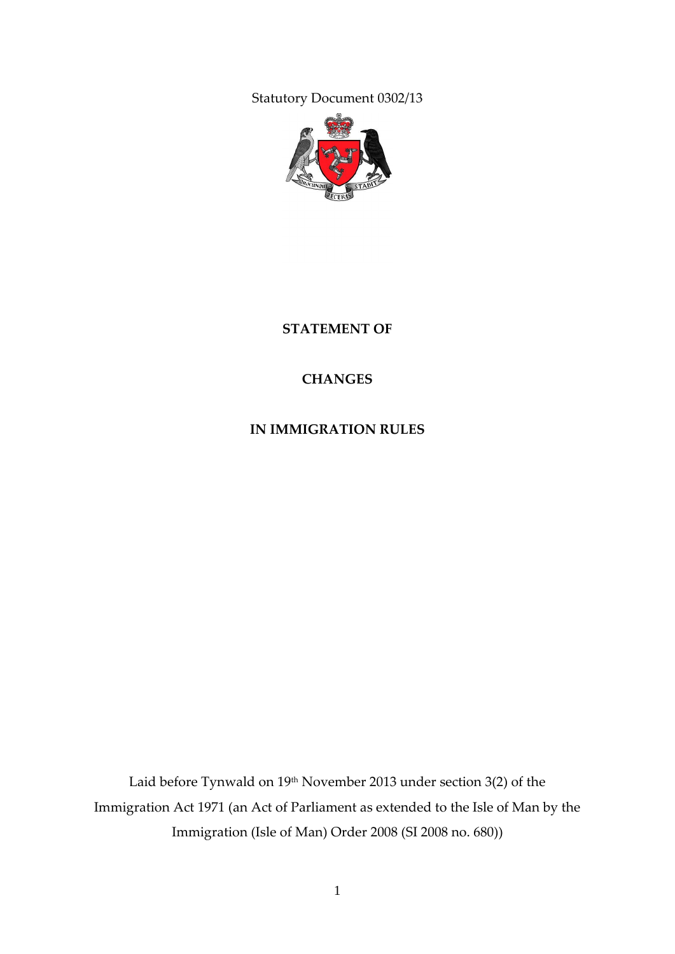Statutory Document 0302/13



**STATEMENT OF**

#### **CHANGES**

**IN IMMIGRATION RULES**

Laid before Tynwald on 19<sup>th</sup> November 2013 under section 3(2) of the Immigration Act 1971 (an Act of Parliament as extended to the Isle of Man by the Immigration (Isle of Man) Order 2008 (SI 2008 no. 680))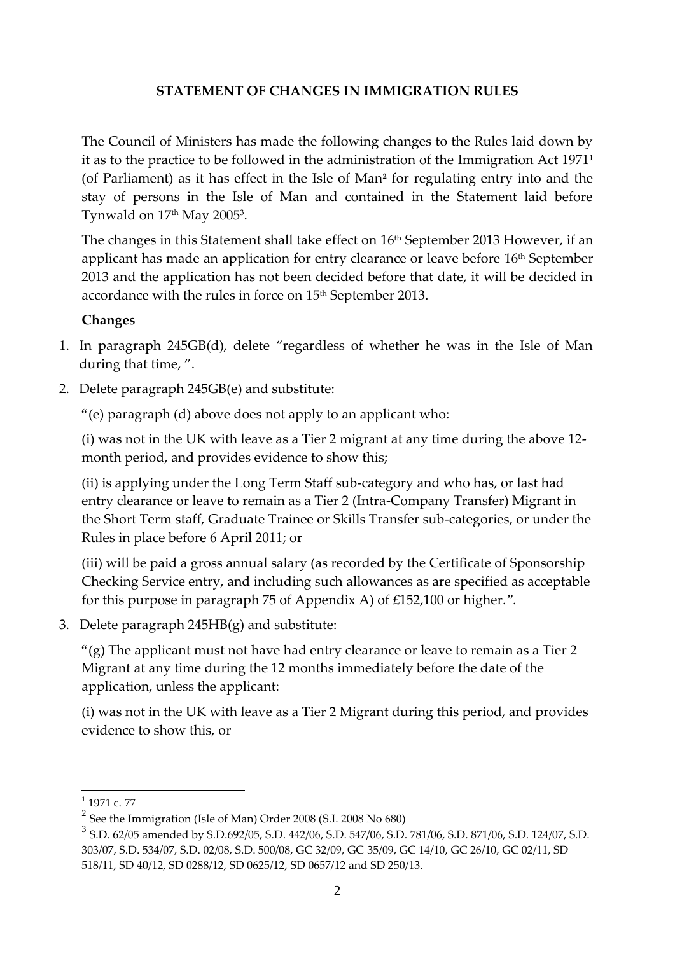#### **STATEMENT OF CHANGES IN IMMIGRATION RULES**

The Council of Ministers has made the following changes to the Rules laid down by it as to the practice to be followed in the administration of the Immigration Act 1971<sup>1</sup> (of Parliament) as it has effect in the Isle of Man**<sup>2</sup>** for regulating entry into and the stay of persons in the Isle of Man and contained in the Statement laid before Tynwald on 17th May 2005<sup>3</sup>.

The changes in this Statement shall take effect on 16<sup>th</sup> September 2013 However, if an applicant has made an application for entry clearance or leave before 16<sup>th</sup> September 2013 and the application has not been decided before that date, it will be decided in accordance with the rules in force on 15<sup>th</sup> September 2013.

#### **Changes**

- 1. In paragraph 245GB(d), delete "regardless of whether he was in the Isle of Man during that time, ".
- 2. Delete paragraph 245GB(e) and substitute:

"(e) paragraph (d) above does not apply to an applicant who:

(i) was not in the UK with leave as a Tier 2 migrant at any time during the above 12 month period, and provides evidence to show this;

(ii) is applying under the Long Term Staff sub-category and who has, or last had entry clearance or leave to remain as a Tier 2 (Intra-Company Transfer) Migrant in the Short Term staff, Graduate Trainee or Skills Transfer sub-categories, or under the Rules in place before 6 April 2011; or

(iii) will be paid a gross annual salary (as recorded by the Certificate of Sponsorship Checking Service entry, and including such allowances as are specified as acceptable for this purpose in paragraph 75 of Appendix A) of £152,100 or higher.".

3. Delete paragraph 245HB(g) and substitute:

" $(g)$  The applicant must not have had entry clearance or leave to remain as a Tier 2 Migrant at any time during the 12 months immediately before the date of the application, unless the applicant:

(i) was not in the UK with leave as a Tier 2 Migrant during this period, and provides evidence to show this, or

<u>.</u>

 $1$  1971 c. 77

 $2$  See the Immigration (Isle of Man) Order 2008 (S.I. 2008 No 680)

<sup>3</sup> S.D. 62/05 amended by S.D.692/05, S.D. 442/06, S.D. 547/06, S.D. 781/06, S.D. 871/06, S.D. 124/07, S.D. 303/07, S.D. 534/07, S.D. 02/08, S.D. 500/08, GC 32/09, GC 35/09, GC 14/10, GC 26/10, GC 02/11, SD 518/11, SD 40/12, SD 0288/12, SD 0625/12, SD 0657/12 and SD 250/13.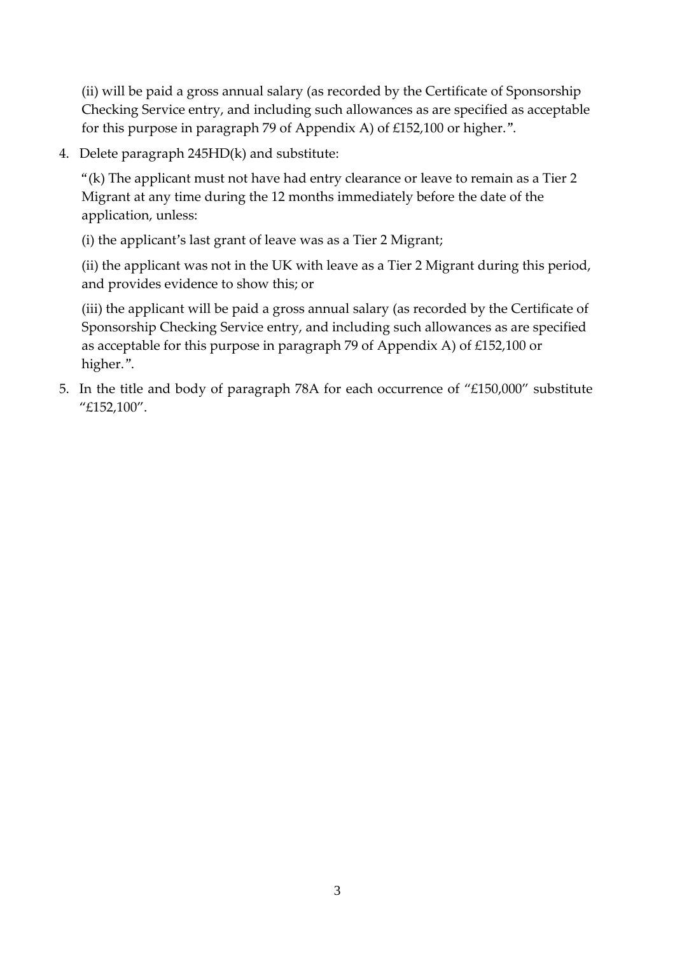(ii) will be paid a gross annual salary (as recorded by the Certificate of Sponsorship Checking Service entry, and including such allowances as are specified as acceptable for this purpose in paragraph 79 of Appendix A) of £152,100 or higher.".

4. Delete paragraph 245HD(k) and substitute:

"(k) The applicant must not have had entry clearance or leave to remain as a Tier 2 Migrant at any time during the 12 months immediately before the date of the application, unless:

(i) the applicant's last grant of leave was as a Tier 2 Migrant;

(ii) the applicant was not in the UK with leave as a Tier 2 Migrant during this period, and provides evidence to show this; or

(iii) the applicant will be paid a gross annual salary (as recorded by the Certificate of Sponsorship Checking Service entry, and including such allowances as are specified as acceptable for this purpose in paragraph 79 of Appendix A) of £152,100 or higher.".

5. In the title and body of paragraph 78A for each occurrence of "£150,000" substitute "£152,100".